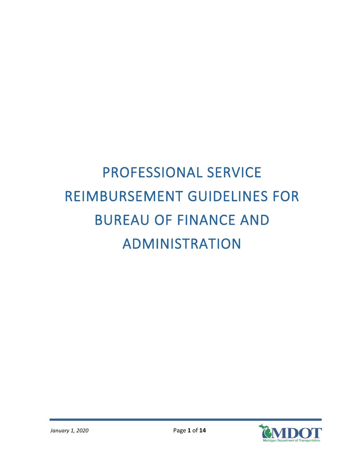# PROFESSIONAL SERVICE REIMBURSEMENT GUIDELINES FOR BUREAU OF FINANCE AND ADMINISTRATION

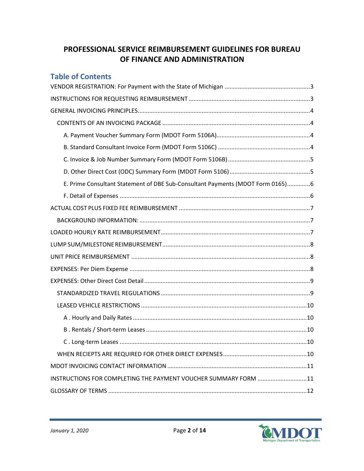# **PROFESSIONAL SERVICE REIMBURSEMENT GUIDELINES FOR BUREAU OF FINANCE AND ADMINISTRATION**

| <b>Table of Contents</b>                                                       |  |
|--------------------------------------------------------------------------------|--|
|                                                                                |  |
|                                                                                |  |
|                                                                                |  |
|                                                                                |  |
|                                                                                |  |
|                                                                                |  |
|                                                                                |  |
|                                                                                |  |
| E. Prime Consultant Statement of DBE Sub-Consultant Payments (MDOT Form 0165)6 |  |
|                                                                                |  |
|                                                                                |  |
|                                                                                |  |
|                                                                                |  |
|                                                                                |  |
|                                                                                |  |
|                                                                                |  |
|                                                                                |  |
|                                                                                |  |
|                                                                                |  |
|                                                                                |  |
|                                                                                |  |
|                                                                                |  |
|                                                                                |  |
|                                                                                |  |
| INSTRUCTIONS FOR COMPLETING THE PAYMENT VOUCHER SUMMARY FORM 11                |  |
|                                                                                |  |

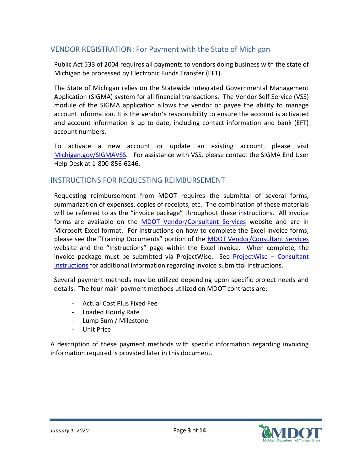# <span id="page-2-0"></span>VENDOR REGISTRATION: For Payment with the State of Michigan

Public Act 533 of 2004 requires all payments to vendors doing business with the state of Michigan be processed by Electronic Funds Transfer (EFT).

The State of Michigan relies on the Statewide Integrated Governmental Management Application (SIGMA) system for all financial transactions. The Vendor Self Service (VSS) module of the SIGMA application allows the vendor or payee the ability to manage account information. It is the vendor's responsibility to ensure the account is activated and account information is up to date, including contact information and bank (EFT) account numbers.

To activate a new account or update an existing account, please visit [Michigan.gov/SIGMAVSS.](https://www.michigan.gov/sigmavss) For assistance with VSS, please contact the SIGMA End User Help Desk at 1-800-856-6246.

## <span id="page-2-1"></span>INSTRUCTIONS FOR REQUESTING REIMBURSEMENT

Requesting reimbursement from MDOT requires the submittal of several forms, summarization of expenses, copies of receipts, etc. The combination of these materials will be referred to as the "invoice package" throughout these instructions. All invoice forms are available on the [MDOT Vendor/Consultant Services](http://www.michigan.gov/mdot/0,4616,7-151-9625_21540---,00.html) website and are in Microsoft Excel format. For instructions on how to complete the Excel invoice forms, please see the "Training Documents" portion of the [MDOT Vendor/Consultant Services](http://www.michigan.gov/mdot/0,4616,7-151-9625_21540---,00.html) website and the "Instructions" page within the Excel invoice. When complete, the invoice package must be submitted via ProjectWise. See [ProjectWise](http://www.michigan.gov/documents/mdot/ProjectWise_-_Consultant_Instructions_504200_7.pdf) – Consultant [Instructions](http://www.michigan.gov/documents/mdot/ProjectWise_-_Consultant_Instructions_504200_7.pdf) for additional information regarding invoice submittal instructions.

Several payment methods may be utilized depending upon specific project needs and details. The four main payment methods utilized on MDOT contracts are:

- Actual Cost Plus Fixed Fee
- Loaded Hourly Rate
- Lump Sum / Milestone
- Unit Price

A description of these payment methods with specific information regarding invoicing information required is provided later in this document.

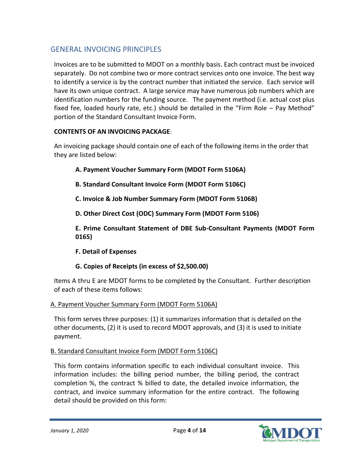# <span id="page-3-0"></span>GENERAL INVOICING PRINCIPLES

Invoices are to be submitted to MDOT on a monthly basis. Each contract must be invoiced separately. Do not combine two or more contract services onto one invoice. The best way to identify a service is by the contract number that initiated the service. Each service will have its own unique contract. A large service may have numerous job numbers which are identification numbers for the funding source. The payment method (i.e. actual cost plus fixed fee, loaded hourly rate, etc.) should be detailed in the "Firm Role – Pay Method" portion of the Standard Consultant Invoice Form.

## <span id="page-3-1"></span>**CONTENTS OF AN INVOICING PACKAGE**:

An invoicing package should contain one of each of the following items in the order that they are listed below:

- **A. Payment Voucher Summary Form (MDOT Form 5106A)**
- **B. Standard Consultant Invoice Form (MDOT Form 5106C)**
- **C. Invoice & Job Number Summary Form (MDOT Form 5106B)**
- **D. Other Direct Cost (ODC) Summary Form (MDOT Form 5106)**

**E. Prime Consultant Statement of DBE Sub-Consultant Payments (MDOT Form 0165)**

**F. Detail of Expenses**

## **G. Copies of Receipts (in excess of \$2,500.00)**

Items A thru E are MDOT forms to be completed by the Consultant. Further description of each of these items follows:

## <span id="page-3-2"></span>A. Payment Voucher Summary Form (MDOT Form 5106A)

This form serves three purposes: (1) it summarizes information that is detailed on the other documents, (2) it is used to record MDOT approvals, and (3) it is used to initiate payment.

## <span id="page-3-3"></span>B. Standard Consultant Invoice Form (MDOT Form 5106C)

This form contains information specific to each individual consultant invoice. This information includes: the billing period number, the billing period, the contract completion %, the contract % billed to date, the detailed invoice information, the contract, and invoice summary information for the entire contract. The following detail should be provided on this form:

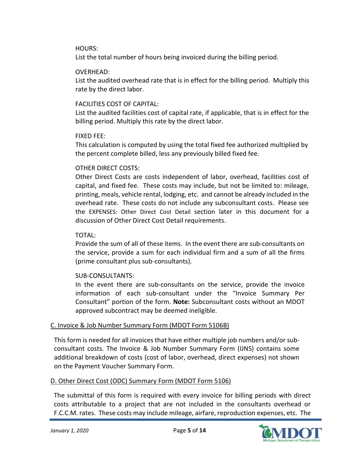#### HOURS:

List the total number of hours being invoiced during the billing period.

#### OVERHEAD:

List the audited overhead rate that is in effect for the billing period. Multiply this rate by the direct labor.

## FACILITIES COST OF CAPITAL:

List the audited facilities cost of capital rate, if applicable, that is in effect for the billing period. Multiply this rate by the direct labor.

#### FIXED FEE:

This calculation is computed by using the total fixed fee authorized multiplied by the percent complete billed, less any previously billed fixed fee.

## OTHER DIRECT COSTS:

Other Direct Costs are costs independent of labor, overhead, facilities cost of capital, and fixed fee. These costs may include, but not be limited to: mileage, printing, meals, vehicle rental, lodging, etc. and cannot be already included in the overhead rate. These costs do not include any subconsultant costs. Please see the [EXPENSES: Other Direct Cost Detail](#page-8-0) section later in this document for a discussion of Other Direct Cost Detail requirements.

## TOTAL:

Provide the sum of all of these items. In the event there are sub-consultants on the service, provide a sum for each individual firm and a sum of all the firms (prime consultant plus sub-consultants).

## SUB-CONSULTANTS:

In the event there are sub-consultants on the service, provide the invoice information of each sub-consultant under the "Invoice Summary Per Consultant" portion of the form. **Note:** Subconsultant costs without an MDOT approved subcontract may be deemed ineligible.

## <span id="page-4-0"></span>C. Invoice & Job Number Summary Form (MDOT Form 5106B)

This form is needed for all invoices that have either multiple job numbers and/or subconsultant costs. The Invoice & Job Number Summary Form (IJNS) contains some additional breakdown of costs (cost of labor, overhead, direct expenses) not shown on the Payment Voucher Summary Form.

## <span id="page-4-1"></span>D. Other Direct Cost (ODC) Summary Form (MDOT Form 5106)

The submittal of this form is required with every invoice for billing periods with direct costs attributable to a project that are not included in the consultants overhead or F.C.C.M. rates. These costs may include mileage, airfare, reproduction expenses, etc. The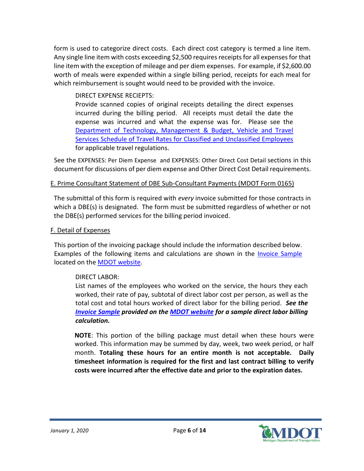form is used to categorize direct costs. Each direct cost category is termed a line item. Any single line item with costs exceeding \$2,500 requires receipts for all expenses for that line item with the exception of mileage and per diem expenses. For example, if \$2,600.00 worth of meals were expended within a single billing period, receipts for each meal for which reimbursement is sought would need to be provided with the invoice.

#### DIRECT EXPENSE RECIEPTS:

Provide scanned copies of original receipts detailing the direct expenses incurred during the billing period. All receipts must detail the date the expense was incurred and what the expense was for. Please see the [Department of Technology, Management & Budget, Vehicle and Travel](https://stateofmichigan.sharepoint.com/teams/insidemdot/work/Documents/Forms/AllItems.aspx?id=/teams/insidemdot/work/Documents/DTMB Travel Rates.pdf&parent=/teams/insidemdot/work/Documents)  [Services Schedule of Travel Rates for Classified and Unclassified Employees](http://www.michigan.gov/dtmb/0,1607,7-150-9141_13132---,00.html) for applicable travel regulations.

See the [EXPENSES: Per Diem Expense](#page-7-2) and [EXPENSES: Other Direct Cost Detail](#page-8-0) sections in this document for discussions of per diem expense and Other Direct Cost Detail requirements.

#### <span id="page-5-0"></span>E. Prime Consultant Statement of DBE Sub-Consultant Payments (MDOT Form 0165)

The submittal of this form is required with *every* invoice submitted for those contracts in which a DBE(s) is designated. The form must be submitted regardless of whether or not the DBE(s) performed services for the billing period invoiced.

#### <span id="page-5-1"></span>F. Detail of Expenses

This portion of the invoicing package should include the information described below. Examples of the following items and calculations are shown in the [Invoice Sample](https://www.michigan.gov/documents/mdot/Invoice_Sample_539893_7.pdf) located on the [MDOT website.](http://www.michigan.gov/mdot/0,4616,7-151-9625_21540---,00.html)

#### DIRECT LABOR:

List names of the employees who worked on the service, the hours they each worked, their rate of pay, subtotal of direct labor cost per person, as well as the total cost and total hours worked of direct labor for the billing period. *See the [Invoice Sample](https://www.michigan.gov/documents/mdot/Invoice_Sample_539893_7.pdf) provided on the [MDOT website](http://www.michigan.gov/mdot/0,4616,7-151-9625_21540---,00.html) for a sample direct labor billing calculation.*

**NOTE**: This portion of the billing package must detail when these hours were worked. This information may be summed by day, week, two week period, or half month. **Totaling these hours for an entire month is not acceptable. Daily timesheet information is required for the first and last contract billing to verify costs were incurred after the effective date and prior to the expiration dates.**

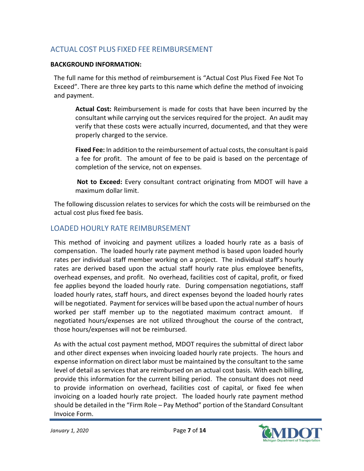# <span id="page-6-0"></span>ACTUAL COST PLUS FIXED FEE REIMBURSEMENT

#### <span id="page-6-1"></span>**BACKGROUND INFORMATION:**

The full name for this method of reimbursement is "Actual Cost Plus Fixed Fee Not To Exceed". There are three key parts to this name which define the method of invoicing and payment.

**Actual Cost:** Reimbursement is made for costs that have been incurred by the consultant while carrying out the services required for the project. An audit may verify that these costs were actually incurred, documented, and that they were properly charged to the service.

**Fixed Fee:** In addition to the reimbursement of actual costs, the consultant is paid a fee for profit. The amount of fee to be paid is based on the percentage of completion of the service, not on expenses.

**Not to Exceed:** Every consultant contract originating from MDOT will have a maximum dollar limit.

The following discussion relates to services for which the costs will be reimbursed on the actual cost plus fixed fee basis.

## <span id="page-6-2"></span>LOADED HOURLY RATE REIMBURSEMENT

This method of invoicing and payment utilizes a loaded hourly rate as a basis of compensation. The loaded hourly rate payment method is based upon loaded hourly rates per individual staff member working on a project. The individual staff's hourly rates are derived based upon the actual staff hourly rate plus employee benefits, overhead expenses, and profit. No overhead, facilities cost of capital, profit, or fixed fee applies beyond the loaded hourly rate. During compensation negotiations, staff loaded hourly rates, staff hours, and direct expenses beyond the loaded hourly rates will be negotiated. Payment for services will be based upon the actual number of hours worked per staff member up to the negotiated maximum contract amount. If negotiated hours/expenses are not utilized throughout the course of the contract, those hours/expenses will not be reimbursed.

As with the actual cost payment method, MDOT requires the submittal of direct labor and other direct expenses when invoicing loaded hourly rate projects. The hours and expense information on direct labor must be maintained by the consultant to the same level of detail as services that are reimbursed on an actual cost basis. With each billing, provide this information for the current billing period. The consultant does not need to provide information on overhead, facilities cost of capital, or fixed fee when invoicing on a loaded hourly rate project. The loaded hourly rate payment method should be detailed in the "Firm Role – Pay Method" portion of the Standard Consultant Invoice Form.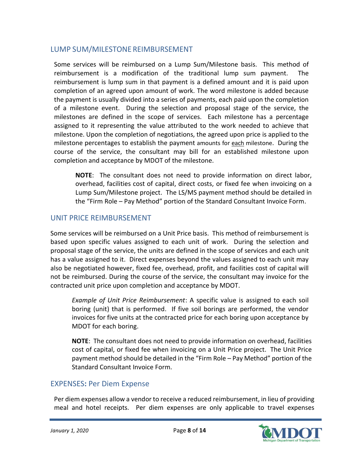## <span id="page-7-0"></span>LUMP SUM/MILESTONE REIMBURSEMENT

Some services will be reimbursed on a Lump Sum/Milestone basis. This method of reimbursement is a modification of the traditional lump sum payment. The reimbursement is lump sum in that payment is a defined amount and it is paid upon completion of an agreed upon amount of work. The word milestone is added because the payment is usually divided into a series of payments, each paid upon the completion of a milestone event. During the selection and proposal stage of the service, the milestones are defined in the scope of services. Each milestone has a percentage assigned to it representing the value attributed to the work needed to achieve that milestone. Upon the completion of negotiations, the agreed upon price is applied to the milestone percentages to establish the payment amounts for each milestone. During the course of the service, the consultant may bill for an established milestone upon completion and acceptance by MDOT of the milestone.

**NOTE**: The consultant does not need to provide information on direct labor, overhead, facilities cost of capital, direct costs, or fixed fee when invoicing on a Lump Sum/Milestone project. The LS/MS payment method should be detailed in the "Firm Role – Pay Method" portion of the Standard Consultant Invoice Form.

## <span id="page-7-1"></span>UNIT PRICE REIMBURSEMENT

Some services will be reimbursed on a Unit Price basis. This method of reimbursement is based upon specific values assigned to each unit of work. During the selection and proposal stage of the service, the units are defined in the scope of services and each unit has a value assigned to it. Direct expenses beyond the values assigned to each unit may also be negotiated however, fixed fee, overhead, profit, and facilities cost of capital will not be reimbursed. During the course of the service, the consultant may invoice for the contracted unit price upon completion and acceptance by MDOT.

*Example of Unit Price Reimbursement*: A specific value is assigned to each soil boring (unit) that is performed. If five soil borings are performed, the vendor invoices for five units at the contracted price for each boring upon acceptance by MDOT for each boring.

**NOTE**: The consultant does not need to provide information on overhead, facilities cost of capital, or fixed fee when invoicing on a Unit Price project. The Unit Price payment method should be detailed in the "Firm Role – Pay Method" portion of the Standard Consultant Invoice Form.

## <span id="page-7-2"></span>EXPENSES**:** Per Diem Expense

Per diem expenses allow a vendor to receive a reduced reimbursement, in lieu of providing meal and hotel receipts. Per diem expenses are only applicable to travel expenses

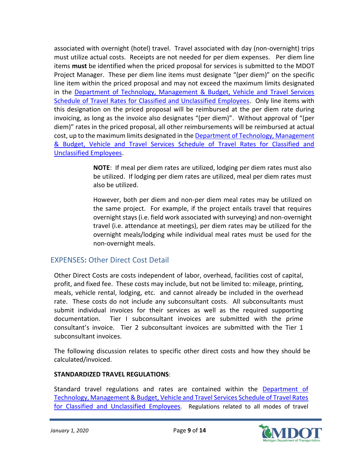associated with overnight (hotel) travel. Travel associated with day (non-overnight) trips must utilize actual costs. Receipts are not needed for per diem expenses. Per diem line items **must** be identified when the priced proposal for services is submitted to the MDOT Project Manager. These per diem line items must designate "(per diem)" on the specific line item within the priced proposal and may not exceed the maximum limits designated in the Department of Technology, Management & Budget, Vehicle and Travel Services [Schedule of Travel Rates for Classified and Unclassified Employees.](http://www.michigan.gov/dtmb/0,1607,7-150-9141_13132---,00.html) Only line items with this designation on the priced proposal will be reimbursed at the per diem rate during invoicing, as long as the invoice also designates "(per diem)". Without approval of "(per diem)" rates in the priced proposal, all other reimbursements will be reimbursed at actual cost, up to the maximum limits designated in the Department of Technology, Management [& Budget, Vehicle and Travel Services Schedule of Travel Rates for Classified and](http://www.michigan.gov/dtmb/0,1607,7-150-9141_13132---,00.html)  [Unclassified Employees.](http://www.michigan.gov/dtmb/0,1607,7-150-9141_13132---,00.html)

> **NOTE**: If meal per diem rates are utilized, lodging per diem rates must also be utilized. If lodging per diem rates are utilized, meal per diem rates must also be utilized.

> However, both per diem and non-per diem meal rates may be utilized on the same project. For example, if the project entails travel that requires overnight stays (i.e. field work associated with surveying) and non-overnight travel (i.e. attendance at meetings), per diem rates may be utilized for the overnight meals/lodging while individual meal rates must be used for the non-overnight meals.

## <span id="page-8-0"></span>EXPENSES**:** Other Direct Cost Detail

Other Direct Costs are costs independent of labor, overhead, facilities cost of capital, profit, and fixed fee. These costs may include, but not be limited to: mileage, printing, meals, vehicle rental, lodging, etc. and cannot already be included in the overhead rate. These costs do not include any subconsultant costs. All subconsultants must submit individual invoices for their services as well as the required supporting documentation. Tier I subconsultant invoices are submitted with the prime consultant's invoice. Tier 2 subconsultant invoices are submitted with the Tier 1 subconsultant invoices.

The following discussion relates to specific other direct costs and how they should be calculated/invoiced.

#### <span id="page-8-1"></span>**STANDARDIZED TRAVEL REGULATIONS**:

Standard travel regulations and rates are contained within the [Department of](http://www.michigan.gov/dtmb/0,1607,7-150-9141_13132---,00.html)  [Technology, Management & Budget, Vehicle and Travel Services Schedule of Travel Rates](http://www.michigan.gov/dtmb/0,1607,7-150-9141_13132---,00.html)  [for Classified and Unclassified Employees](http://www.michigan.gov/dtmb/0,1607,7-150-9141_13132---,00.html). Regulations related to all modes of travel

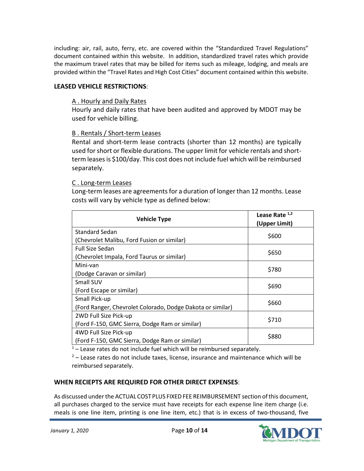including: air, rail, auto, ferry, etc. are covered within the "Standardized Travel Regulations" document contained within this website. In addition, standardized travel rates which provide the maximum travel rates that may be billed for items such as mileage, lodging, and meals are provided within the "Travel Rates and High Cost Cities" document contained within this website.

#### <span id="page-9-1"></span><span id="page-9-0"></span>**LEASED VEHICLE RESTRICTIONS**:

#### A . Hourly and Daily Rates

Hourly and daily rates that have been audited and approved by MDOT may be used for vehicle billing.

#### <span id="page-9-2"></span>B . Rentals / Short-term Leases

Rental and short-term lease contracts (shorter than 12 months) are typically used for short or flexible durations. The upper limit for vehicle rentals and shortterm leases is \$100/day. This cost does not include fuel which will be reimbursed separately.

#### <span id="page-9-3"></span>C . Long-term Leases

Long-term leases are agreements for a duration of longer than 12 months. Lease costs will vary by vehicle type as defined below:

| <b>Vehicle Type</b>                                        | Lease Rate $1,2$<br>(Upper Limit) |
|------------------------------------------------------------|-----------------------------------|
| <b>Standard Sedan</b>                                      | \$600                             |
| (Chevrolet Malibu, Ford Fusion or similar)                 |                                   |
| <b>Full Size Sedan</b>                                     | \$650                             |
| (Chevrolet Impala, Ford Taurus or similar)                 |                                   |
| Mini-van                                                   | \$780                             |
| (Dodge Caravan or similar)                                 |                                   |
| Small SUV                                                  | \$690                             |
| (Ford Escape or similar)                                   |                                   |
| Small Pick-up                                              | \$660                             |
| (Ford Ranger, Chevrolet Colorado, Dodge Dakota or similar) |                                   |
| 2WD Full Size Pick-up                                      | \$710                             |
| (Ford F-150, GMC Sierra, Dodge Ram or similar)             |                                   |
| 4WD Full Size Pick-up                                      | \$880                             |
| (Ford F-150, GMC Sierra, Dodge Ram or similar)             |                                   |

 $1 -$  Lease rates do not include fuel which will be reimbursed separately.

 $2$  – Lease rates do not include taxes, license, insurance and maintenance which will be reimbursed separately.

#### <span id="page-9-4"></span>**WHEN RECIEPTS ARE REQUIRED FOR OTHER DIRECT EXPENSES**:

As discussed under the ACTUAL COST PLUS FIXEDFEE [REIMBURSEMENT](#page-6-0) section of this document, all purchases charged to the service must have receipts for each expense line item charge (i.e. meals is one line item, printing is one line item, etc.) that is in excess of two-thousand, five

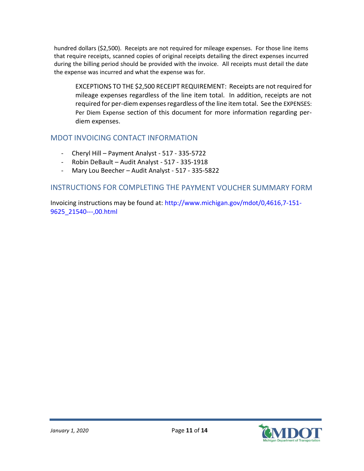hundred dollars (\$2,500). Receipts are not required for mileage expenses. For those line items that require receipts, scanned copies of original receipts detailing the direct expenses incurred during the billing period should be provided with the invoice. All receipts must detail the date the expense was incurred and what the expense was for.

EXCEPTIONS TO THE \$2,500 RECEIPT REQUIREMENT: Receipts are not required for mileage expenses regardless of the line item total. In addition, receipts are not required for per-diem expenses regardless of the line item total. See the [EXPENSES:](#page-7-2)  [Per Diem Expense](#page-7-2) section of this document for more information regarding perdiem expenses.

## <span id="page-10-0"></span>MDOT INVOICING CONTACT INFORMATION

- Cheryl Hill Payment Analyst 517 335-5722
- Robin DeBault Audit Analyst 517 335-1918
- Mary Lou Beecher Audit Analyst 517 335-5822

#### <span id="page-10-1"></span>INSTRUCTIONS FOR COMPLETING THE PAYMENT VOUCHER SUMMARY FORM

Invoicing instructions may be found at: [http://www.michigan.gov/mdot/0,4616,7-151-](http://www.michigan.gov/mdot/0,4616,7-151-9625_21540---,00.html) [9625\\_21540---,00.html](http://www.michigan.gov/mdot/0,4616,7-151-9625_21540---,00.html)

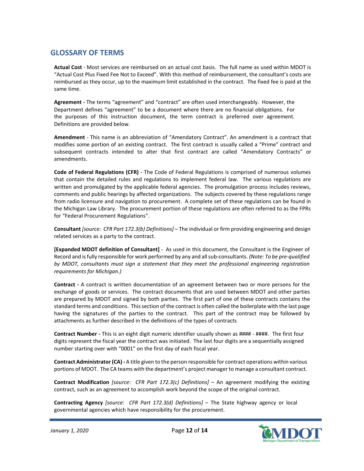## <span id="page-11-0"></span>**GLOSSARY OF TERMS**

**Actual Cost** - Most services are reimbursed on an actual cost basis. The full name as used within MDOT is "Actual Cost Plus Fixed Fee Not to Exceed". With this method of reimbursement, the consultant's costs are reimbursed as they occur, up to the maximum limit established in the contract. The fixed fee is paid at the same time.

**Agreement -** The terms "agreement" and "contract" are often used interchangeably. However, the Department defines "agreement" to be a document where there are no financial obligations. For the purposes of this instruction document, the term contract is preferred over agreement. Definitions are provided below.

**Amendment** - This name is an abbreviation of "Amendatory Contract". An amendment is a contract that modifies some portion of an existing contract. The first contract is usually called a "Prime" contract and subsequent contracts intended to alter that first contract are called "Amendatory Contracts" or amendments.

**Code of Federal Regulations (CFR)** - The Code of Federal Regulations is comprised of numerous volumes that contain the detailed rules and regulations to implement federal law. The various regulations are written and promulgated by the applicable federal agencies. The promulgation process includes reviews, comments and public hearings by affected organizations. The subjects covered by these regulations range from radio licensure and navigation to procurement. A complete set of these regulations can be found in the Michigan Law Library. The procurement portion of these regulations are often referred to as the FPRs for "Federal Procurement Regulations".

**Consultant** *[source: CFR Part 172.3(b) Definitions]* – The individual or firm providing engineering and design related services as a party to the contract.

**[Expanded MDOT definition of Consultant]** - As used in this document, the Consultant is the Engineer of Record and is fully responsible for work performed by any and all sub-consultants. *(Note: To be pre-qualified by MDOT, consultants must sign a statement that they meet the professional engineering registration requirements for Michigan.)*

**Contract -** A contract is written documentation of an agreement between two or more persons for the exchange of goods or services. The contract documents that are used between MDOT and other parties are prepared by MDOT and signed by both parties. The first part of one of these contracts contains the standard terms and conditions. This section of the contract is often called the boilerplate with the last page having the signatures of the parties to the contract. This part of the contract may be followed by attachments as further described in the definitions of the types of contracts

**Contract Number -** This is an eight digit numeric identifier usually shown as #### - ####. The first four digits represent the fiscal year the contract was initiated. The last four digits are a sequentially assigned number starting over with "0001" on the first day of each fiscal year.

**Contract Administrator (CA) -** A title given to the person responsible for contract operations within various portions of MDOT. The CA teams with the department's project manager to manage a consultant contract.

**Contract Modification** *[source: CFR Part 172.3(c) Definitions]* – An agreement modifying the existing contract, such as an agreement to accomplish work beyond the scope of the original contract.

**Contracting Agency** *[source: CFR Part 172.3(d) Definitions]* – The State highway agency or local governmental agencies which have responsibility for the procurement.

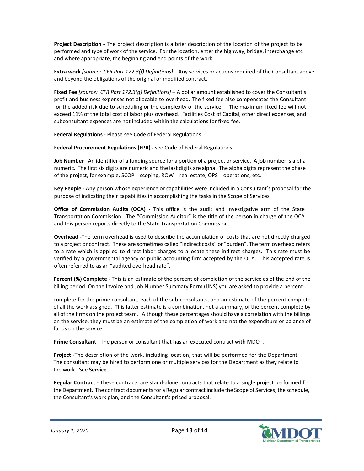**Project Description -** The project description is a brief description of the location of the project to be performed and type of work of the service. For the location, enter the highway, bridge, interchange etc and where appropriate, the beginning and end points of the work.

**Extra work** *[source: CFR Part 172.3(f) Definitions]* – Any services or actions required of the Consultant above and beyond the obligations of the original or modified contract.

**Fixed Fee** *[source: CFR Part 172.3(g) Definitions]* – A dollar amount established to cover the Consultant's profit and business expenses not allocable to overhead. The fixed fee also compensates the Consultant for the added risk due to scheduling or the complexity of the service. The maximum fixed fee will not exceed 11% of the total cost of labor plus overhead. Facilities Cost of Capital, other direct expenses, and subconsultant expenses are not included within the calculations for fixed fee.

**Federal Regulations** - Please see Code of Federal Regulations

**Federal Procurement Regulations (FPR) -** see Code of Federal Regulations

**Job Number** - An identifier of a funding source for a portion of a project or service. A job number is alpha numeric. The first six digits are numeric and the last digits are alpha. The alpha digits represent the phase of the project, for example, SCOP = scoping, ROW = real estate, OPS = operations, etc.

**Key People** - Any person whose experience or capabilities were included in a Consultant's proposal for the purpose of indicating their capabilities in accomplishing the tasks in the Scope of Services.

**Office of Commission Audits (OCA) -** This office is the audit and investigative arm of the State Transportation Commission. The "Commission Auditor" is the title of the person in charge of the OCA and this person reports directly to the State Transportation Commission.

**Overhead -**The term overhead is used to describe the accumulation of costs that are not directly charged to a project or contract. These are sometimes called "indirect costs" or "burden". The term overhead refers to a rate which is applied to direct labor charges to allocate these indirect charges. This rate must be verified by a governmental agency or public accounting firm accepted by the OCA. This accepted rate is often referred to as an "audited overhead rate".

**Percent (%) Complete -** This is an estimate of the percent of completion of the service as of the end of the billing period. On the Invoice and Job Number Summary Form (IJNS) you are asked to provide a percent

complete for the prime consultant, each of the sub-consultants, and an estimate of the percent complete of all the work assigned. This latter estimate is a combination, not a summary, of the percent complete by all of the firms on the project team. Although these percentages should have a correlation with the billings on the service, they must be an estimate of the completion of work and not the expenditure or balance of funds on the service.

**Prime Consultant** - The person or consultant that has an executed contract with MDOT.

**Project -**The description of the work, including location, that will be performed for the Department. The consultant may be hired to perform one or multiple services for the Department as they relate to the work. See **Service**.

**Regular Contract** - These contracts are stand-alone contracts that relate to a single project performed for the Department. The contract documentsfor a Regular contract include the Scope of Services, the schedule, the Consultant's work plan, and the Consultant's priced proposal.